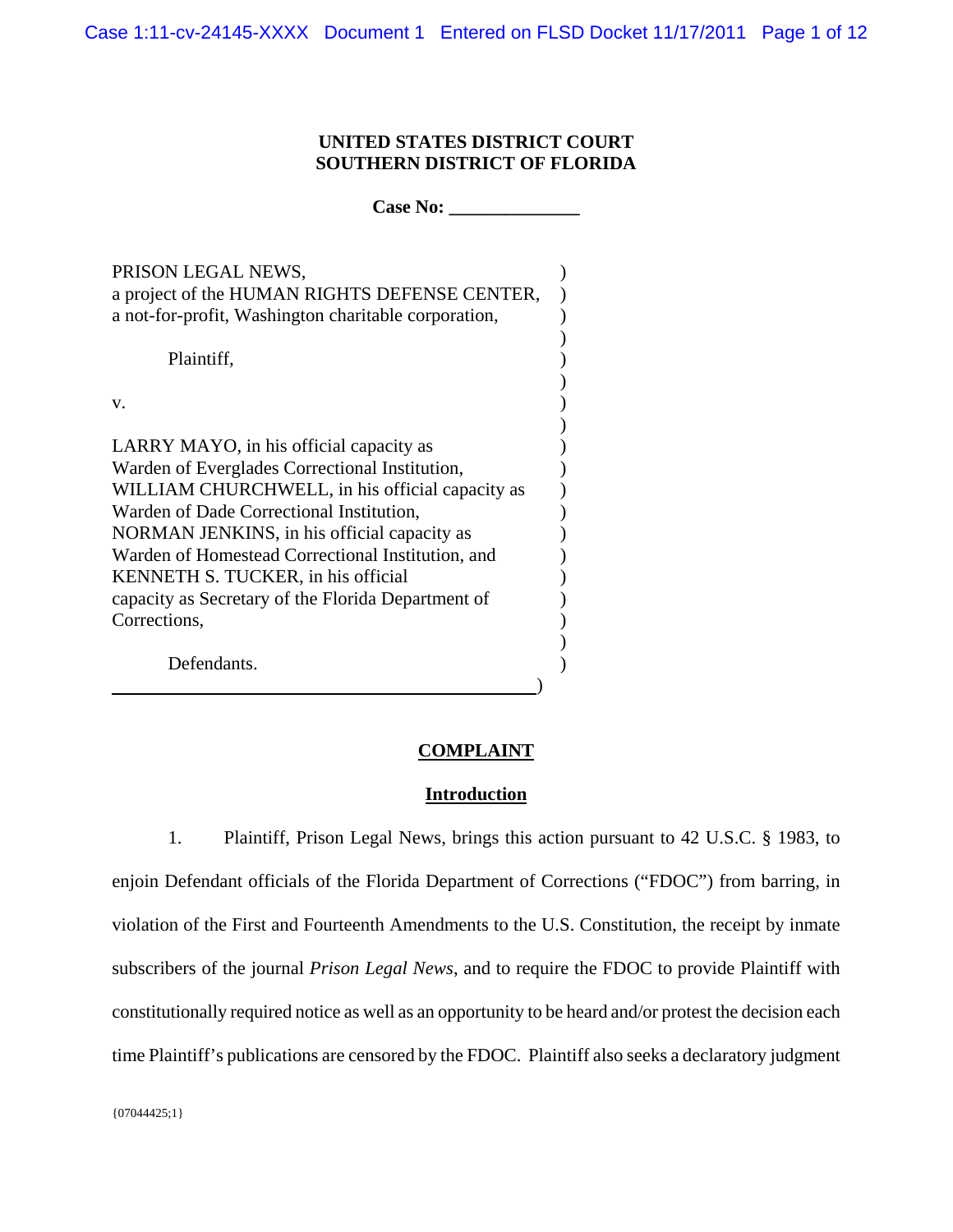# **UNITED STATES DISTRICT COURT SOUTHERN DISTRICT OF FLORIDA**

Case No:

| PRISON LEGAL NEWS,<br>a project of the HUMAN RIGHTS DEFENSE CENTER,<br>a not-for-profit, Washington charitable corporation, |  |
|-----------------------------------------------------------------------------------------------------------------------------|--|
| Plaintiff,                                                                                                                  |  |
| V.                                                                                                                          |  |
| LARRY MAYO, in his official capacity as                                                                                     |  |
| Warden of Everglades Correctional Institution,                                                                              |  |
| WILLIAM CHURCHWELL, in his official capacity as                                                                             |  |
| Warden of Dade Correctional Institution,                                                                                    |  |
| NORMAN JENKINS, in his official capacity as                                                                                 |  |
| Warden of Homestead Correctional Institution, and                                                                           |  |
| KENNETH S. TUCKER, in his official                                                                                          |  |
| capacity as Secretary of the Florida Department of                                                                          |  |
| Corrections,                                                                                                                |  |
| Defendants.                                                                                                                 |  |

### **COMPLAINT**

### **Introduction**

1. Plaintiff, Prison Legal News, brings this action pursuant to 42 U.S.C. § 1983, to enjoin Defendant officials of the Florida Department of Corrections ("FDOC") from barring, in violation of the First and Fourteenth Amendments to the U.S. Constitution, the receipt by inmate subscribers of the journal *Prison Legal News*, and to require the FDOC to provide Plaintiff with constitutionally required notice as well as an opportunity to be heard and/or protest the decision each time Plaintiff's publications are censored by the FDOC. Plaintiff also seeks a declaratory judgment

 ${07044425;1}$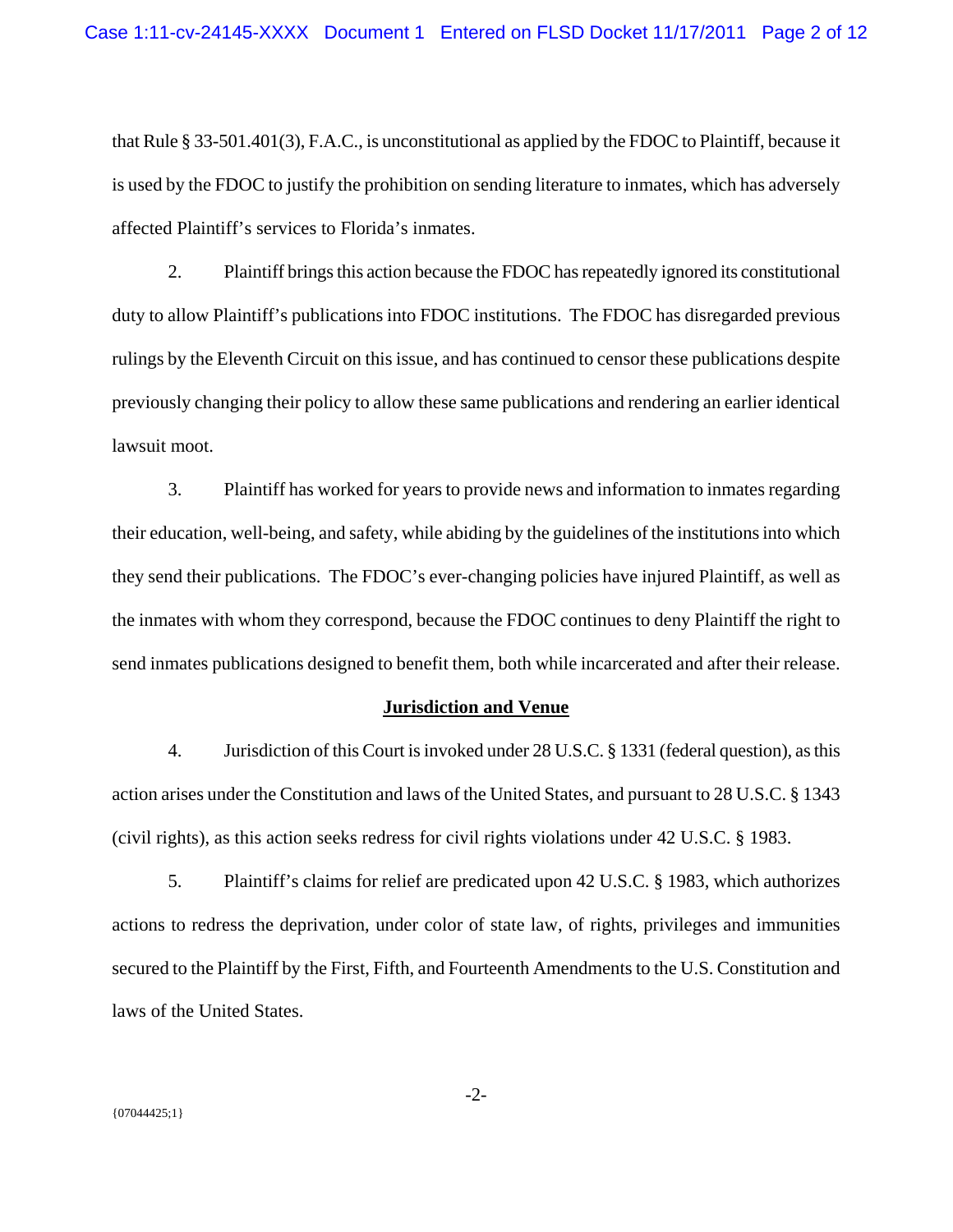that Rule § 33-501.401(3), F.A.C., is unconstitutional as applied by the FDOC to Plaintiff, because it is used by the FDOC to justify the prohibition on sending literature to inmates, which has adversely affected Plaintiff's services to Florida's inmates.

2. Plaintiff brings this action because the FDOC has repeatedly ignored its constitutional duty to allow Plaintiff's publications into FDOC institutions. The FDOC has disregarded previous rulings by the Eleventh Circuit on this issue, and has continued to censor these publications despite previously changing their policy to allow these same publications and rendering an earlier identical lawsuit moot.

3. Plaintiff has worked for years to provide news and information to inmates regarding their education, well-being, and safety, while abiding by the guidelines of the institutions into which they send their publications. The FDOC's ever-changing policies have injured Plaintiff, as well as the inmates with whom they correspond, because the FDOC continues to deny Plaintiff the right to send inmates publications designed to benefit them, both while incarcerated and after their release.

### **Jurisdiction and Venue**

4. Jurisdiction of this Court is invoked under 28 U.S.C. § 1331 (federal question), as this action arises under the Constitution and laws of the United States, and pursuant to 28 U.S.C. § 1343 (civil rights), as this action seeks redress for civil rights violations under 42 U.S.C. § 1983.

5. Plaintiff's claims for relief are predicated upon 42 U.S.C. § 1983, which authorizes actions to redress the deprivation, under color of state law, of rights, privileges and immunities secured to the Plaintiff by the First, Fifth, and Fourteenth Amendments to the U.S. Constitution and laws of the United States.

-2-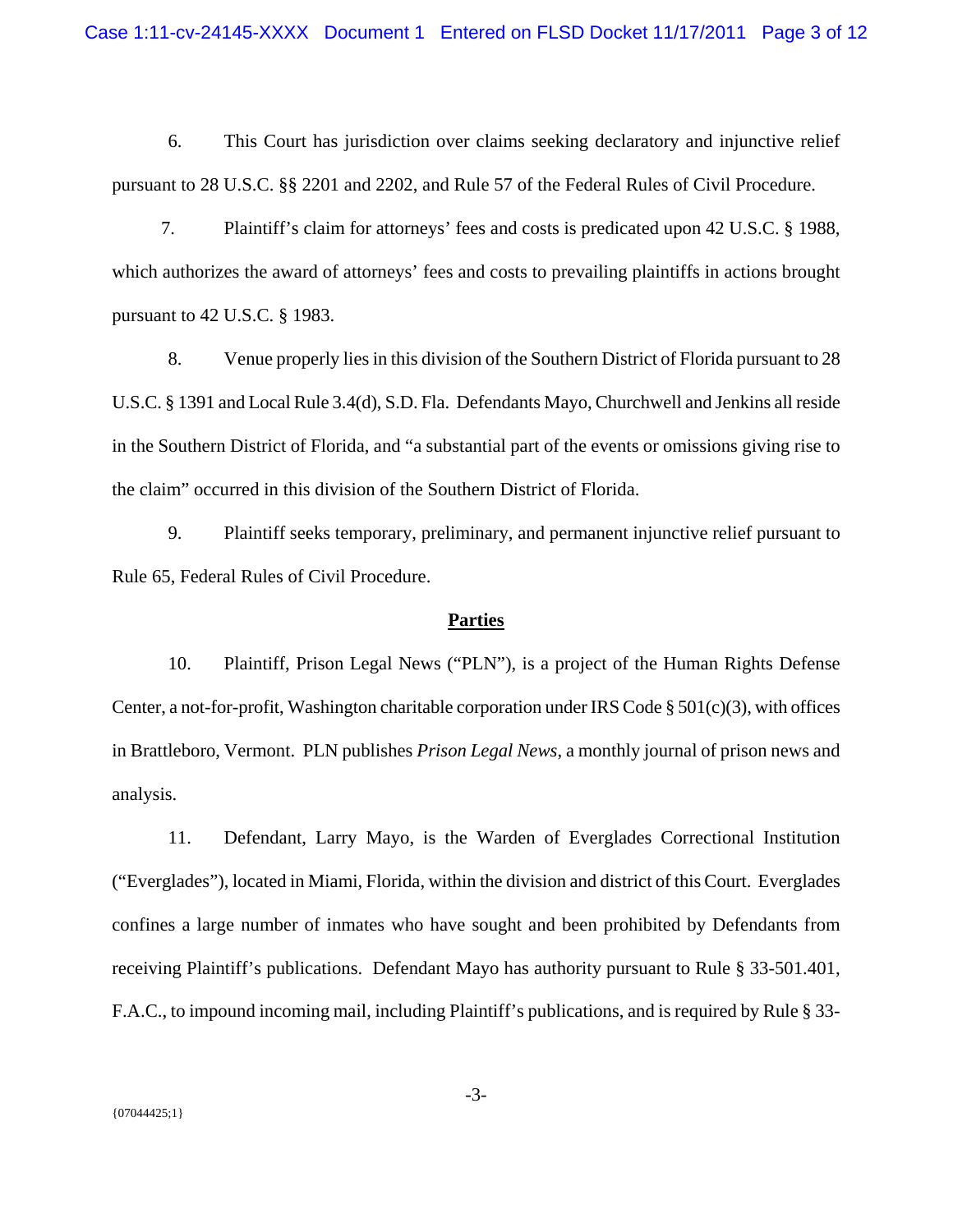6. This Court has jurisdiction over claims seeking declaratory and injunctive relief pursuant to 28 U.S.C. §§ 2201 and 2202, and Rule 57 of the Federal Rules of Civil Procedure.

7. Plaintiff's claim for attorneys' fees and costs is predicated upon 42 U.S.C. § 1988, which authorizes the award of attorneys' fees and costs to prevailing plaintiffs in actions brought pursuant to 42 U.S.C. § 1983.

8. Venue properly lies in this division of the Southern District of Florida pursuant to 28 U.S.C. § 1391 and Local Rule 3.4(d), S.D. Fla. Defendants Mayo, Churchwell and Jenkins all reside in the Southern District of Florida, and "a substantial part of the events or omissions giving rise to the claim" occurred in this division of the Southern District of Florida.

9. Plaintiff seeks temporary, preliminary, and permanent injunctive relief pursuant to Rule 65, Federal Rules of Civil Procedure.

#### **Parties**

10. Plaintiff, Prison Legal News ("PLN"), is a project of the Human Rights Defense Center, a not-for-profit, Washington charitable corporation under IRS Code § 501(c)(3), with offices in Brattleboro, Vermont. PLN publishes *Prison Legal News*, a monthly journal of prison news and analysis.

11. Defendant, Larry Mayo, is the Warden of Everglades Correctional Institution ("Everglades"), located in Miami, Florida, within the division and district of this Court. Everglades confines a large number of inmates who have sought and been prohibited by Defendants from receiving Plaintiff's publications. Defendant Mayo has authority pursuant to Rule § 33-501.401, F.A.C., to impound incoming mail, including Plaintiff's publications, and is required by Rule § 33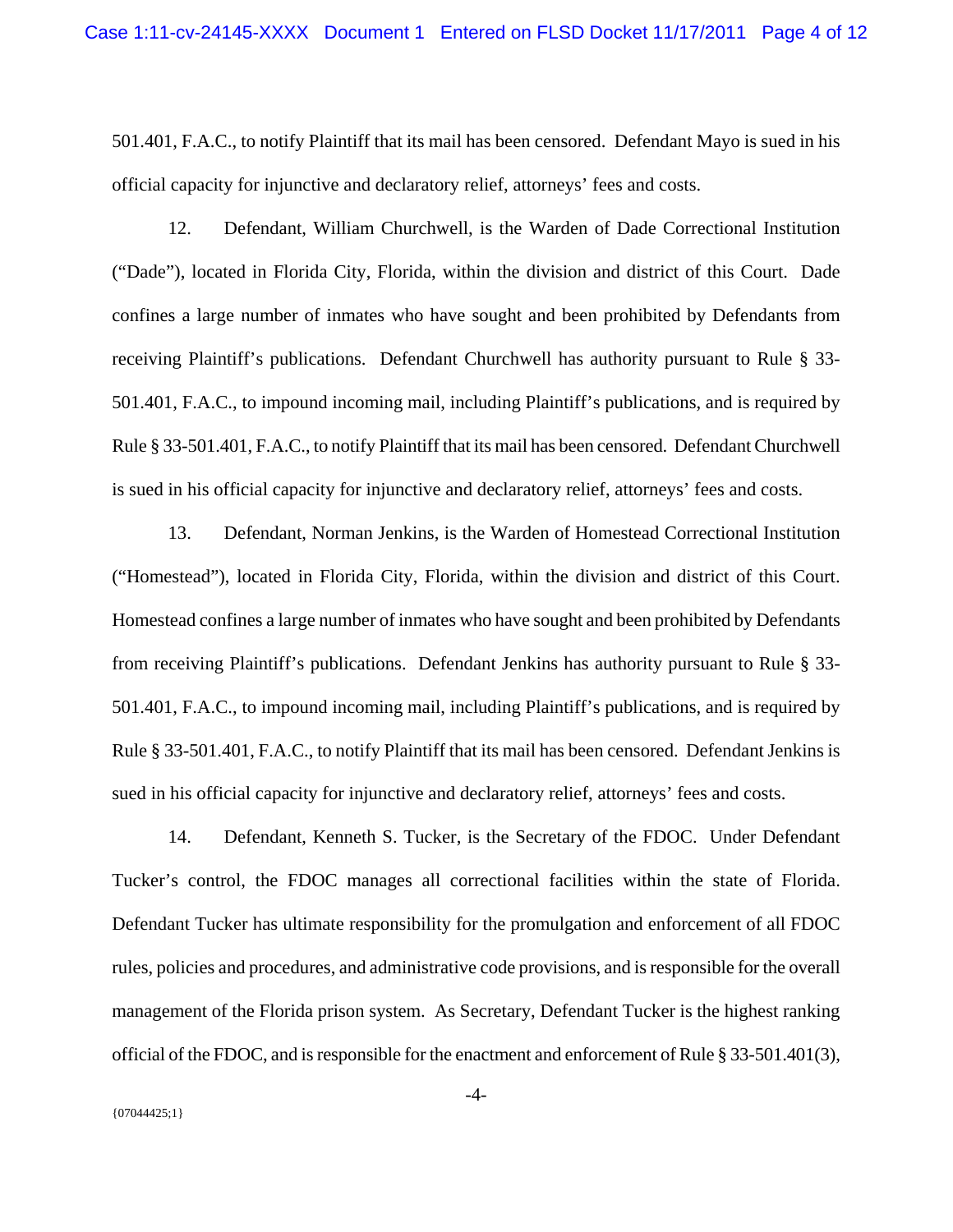501.401, F.A.C., to notify Plaintiff that its mail has been censored. Defendant Mayo is sued in his official capacity for injunctive and declaratory relief, attorneys' fees and costs.

12. Defendant, William Churchwell, is the Warden of Dade Correctional Institution ("Dade"), located in Florida City, Florida, within the division and district of this Court. Dade confines a large number of inmates who have sought and been prohibited by Defendants from receiving Plaintiff's publications. Defendant Churchwell has authority pursuant to Rule § 33- 501.401, F.A.C., to impound incoming mail, including Plaintiff's publications, and is required by Rule § 33-501.401, F.A.C., to notify Plaintiff that its mail has been censored. Defendant Churchwell is sued in his official capacity for injunctive and declaratory relief, attorneys' fees and costs.

13. Defendant, Norman Jenkins, is the Warden of Homestead Correctional Institution ("Homestead"), located in Florida City, Florida, within the division and district of this Court. Homestead confines a large number of inmates who have sought and been prohibited by Defendants from receiving Plaintiff's publications. Defendant Jenkins has authority pursuant to Rule § 33- 501.401, F.A.C., to impound incoming mail, including Plaintiff's publications, and is required by Rule § 33-501.401, F.A.C., to notify Plaintiff that its mail has been censored. Defendant Jenkins is sued in his official capacity for injunctive and declaratory relief, attorneys' fees and costs.

14. Defendant, Kenneth S. Tucker, is the Secretary of the FDOC. Under Defendant Tucker's control, the FDOC manages all correctional facilities within the state of Florida. Defendant Tucker has ultimate responsibility for the promulgation and enforcement of all FDOC rules, policies and procedures, and administrative code provisions, and is responsible for the overall management of the Florida prison system. As Secretary, Defendant Tucker is the highest ranking official of the FDOC, and is responsible for the enactment and enforcement of Rule § 33-501.401(3),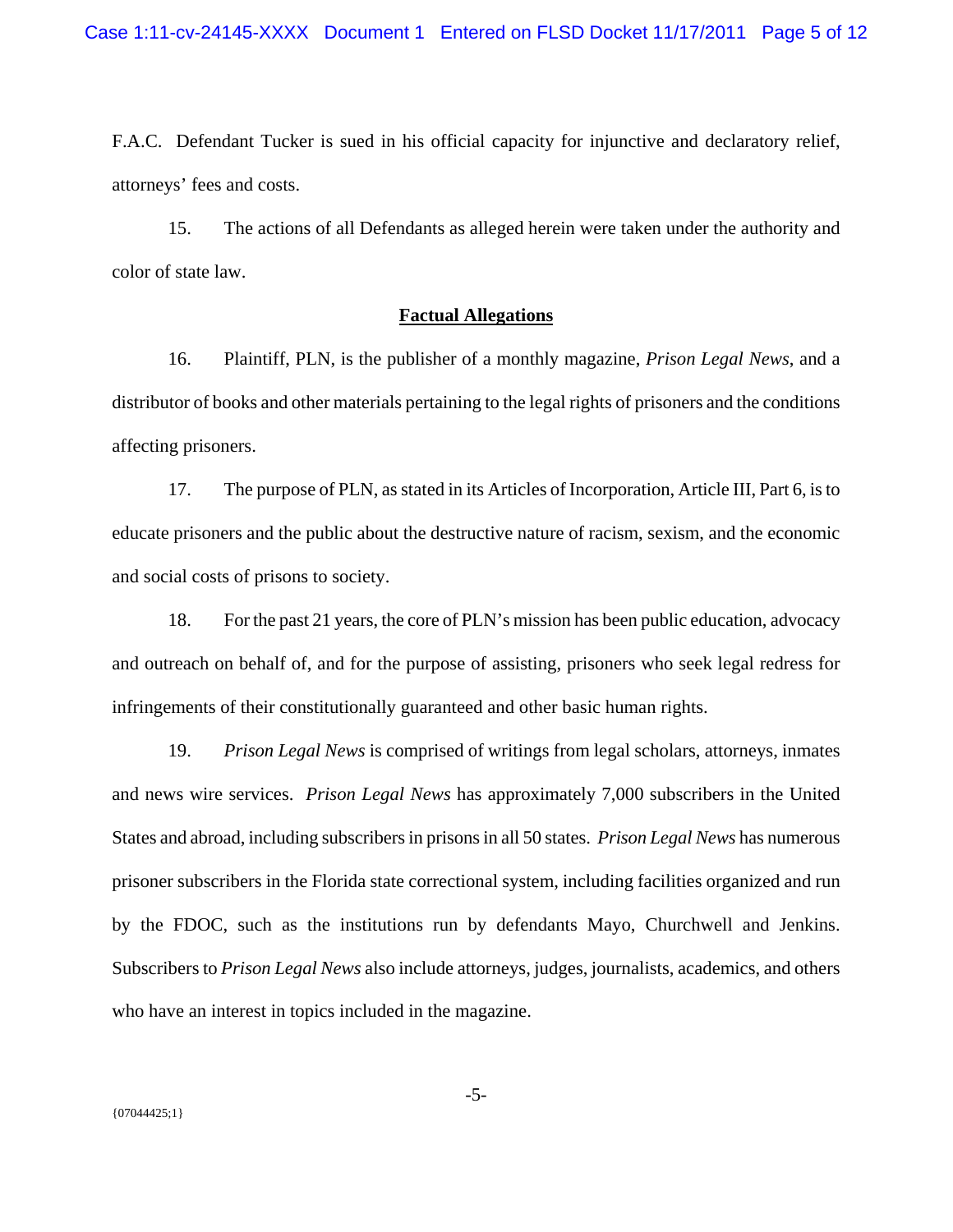F.A.C. Defendant Tucker is sued in his official capacity for injunctive and declaratory relief, attorneys' fees and costs.

15. The actions of all Defendants as alleged herein were taken under the authority and color of state law.

## **Factual Allegations**

16. Plaintiff, PLN, is the publisher of a monthly magazine, *Prison Legal News*, and a distributor of books and other materials pertaining to the legal rights of prisoners and the conditions affecting prisoners.

17. The purpose of PLN, as stated in its Articles of Incorporation, Article III, Part 6, is to educate prisoners and the public about the destructive nature of racism, sexism, and the economic and social costs of prisons to society.

18. For the past 21 years, the core of PLN's mission has been public education, advocacy and outreach on behalf of, and for the purpose of assisting, prisoners who seek legal redress for infringements of their constitutionally guaranteed and other basic human rights.

19. *Prison Legal News* is comprised of writings from legal scholars, attorneys, inmates and news wire services. *Prison Legal News* has approximately 7,000 subscribers in the United States and abroad, including subscribers in prisons in all 50 states. *Prison Legal News* has numerous prisoner subscribers in the Florida state correctional system, including facilities organized and run by the FDOC, such as the institutions run by defendants Mayo, Churchwell and Jenkins. Subscribers to *Prison Legal News* also include attorneys, judges, journalists, academics, and others who have an interest in topics included in the magazine.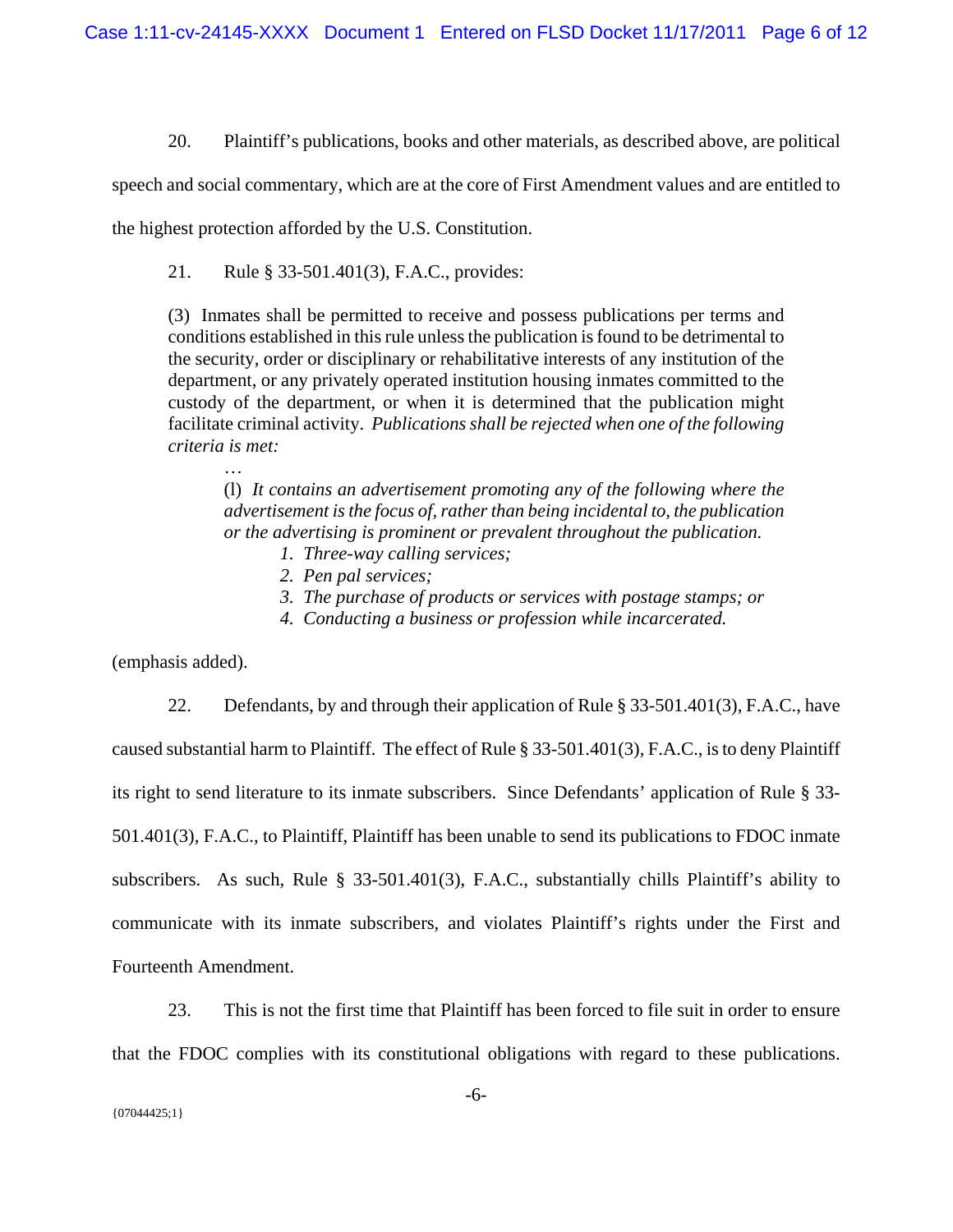20. Plaintiff's publications, books and other materials, as described above, are political

speech and social commentary, which are at the core of First Amendment values and are entitled to

the highest protection afforded by the U.S. Constitution.

21. Rule § 33-501.401(3), F.A.C., provides:

(3) Inmates shall be permitted to receive and possess publications per terms and conditions established in this rule unless the publication is found to be detrimental to the security, order or disciplinary or rehabilitative interests of any institution of the department, or any privately operated institution housing inmates committed to the custody of the department, or when it is determined that the publication might facilitate criminal activity. *Publications shall be rejected when one of the following criteria is met:* 

(l) *It contains an advertisement promoting any of the following where the advertisement is the focus of, rather than being incidental to, the publication or the advertising is prominent or prevalent throughout the publication.* 

- *1. Three-way calling services;*
- *2. Pen pal services;*
- *3. The purchase of products or services with postage stamps; or*
- *4. Conducting a business or profession while incarcerated.*

(emphasis added).

…

22. Defendants, by and through their application of Rule § 33-501.401(3), F.A.C., have caused substantial harm to Plaintiff. The effect of Rule § 33-501.401(3), F.A.C., is to deny Plaintiff its right to send literature to its inmate subscribers. Since Defendants' application of Rule § 33- 501.401(3), F.A.C., to Plaintiff, Plaintiff has been unable to send its publications to FDOC inmate subscribers. As such, Rule § 33-501.401(3), F.A.C., substantially chills Plaintiff's ability to communicate with its inmate subscribers, and violates Plaintiff's rights under the First and Fourteenth Amendment.

23. This is not the first time that Plaintiff has been forced to file suit in order to ensure that the FDOC complies with its constitutional obligations with regard to these publications.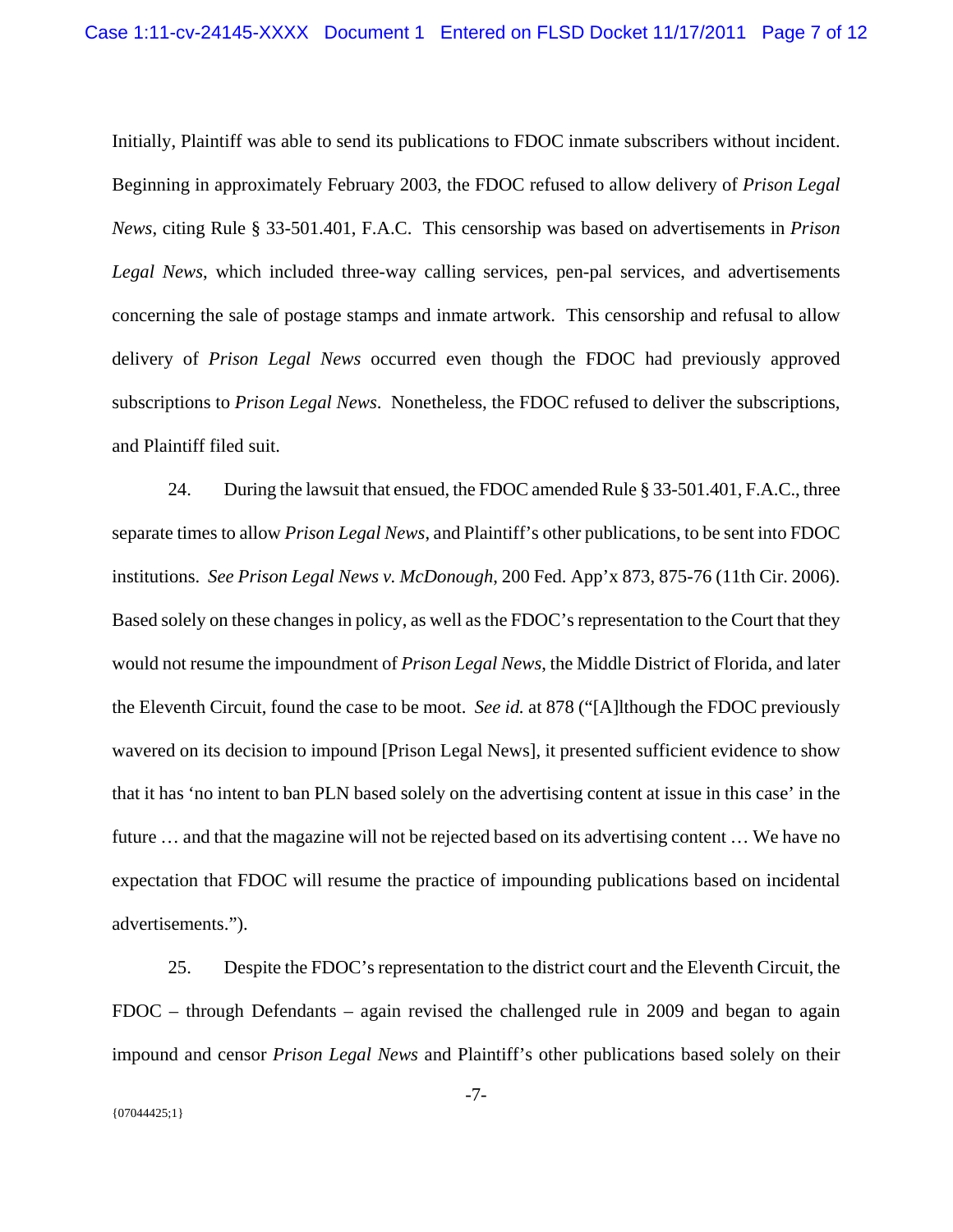Initially, Plaintiff was able to send its publications to FDOC inmate subscribers without incident. Beginning in approximately February 2003, the FDOC refused to allow delivery of *Prison Legal News*, citing Rule § 33-501.401, F.A.C. This censorship was based on advertisements in *Prison Legal News*, which included three-way calling services, pen-pal services, and advertisements concerning the sale of postage stamps and inmate artwork. This censorship and refusal to allow delivery of *Prison Legal News* occurred even though the FDOC had previously approved subscriptions to *Prison Legal News*. Nonetheless, the FDOC refused to deliver the subscriptions, and Plaintiff filed suit.

24. During the lawsuit that ensued, the FDOC amended Rule § 33-501.401, F.A.C., three separate times to allow *Prison Legal News*, and Plaintiff's other publications, to be sent into FDOC institutions. *See Prison Legal News v. McDonough*, 200 Fed. App'x 873, 875-76 (11th Cir. 2006). Based solely on these changes in policy, as well as the FDOC's representation to the Court that they would not resume the impoundment of *Prison Legal News*, the Middle District of Florida, and later the Eleventh Circuit, found the case to be moot. *See id.* at 878 ("[A]lthough the FDOC previously wavered on its decision to impound [Prison Legal News], it presented sufficient evidence to show that it has 'no intent to ban PLN based solely on the advertising content at issue in this case' in the future … and that the magazine will not be rejected based on its advertising content … We have no expectation that FDOC will resume the practice of impounding publications based on incidental advertisements.").

25. Despite the FDOC's representation to the district court and the Eleventh Circuit, the FDOC – through Defendants – again revised the challenged rule in 2009 and began to again impound and censor *Prison Legal News* and Plaintiff's other publications based solely on their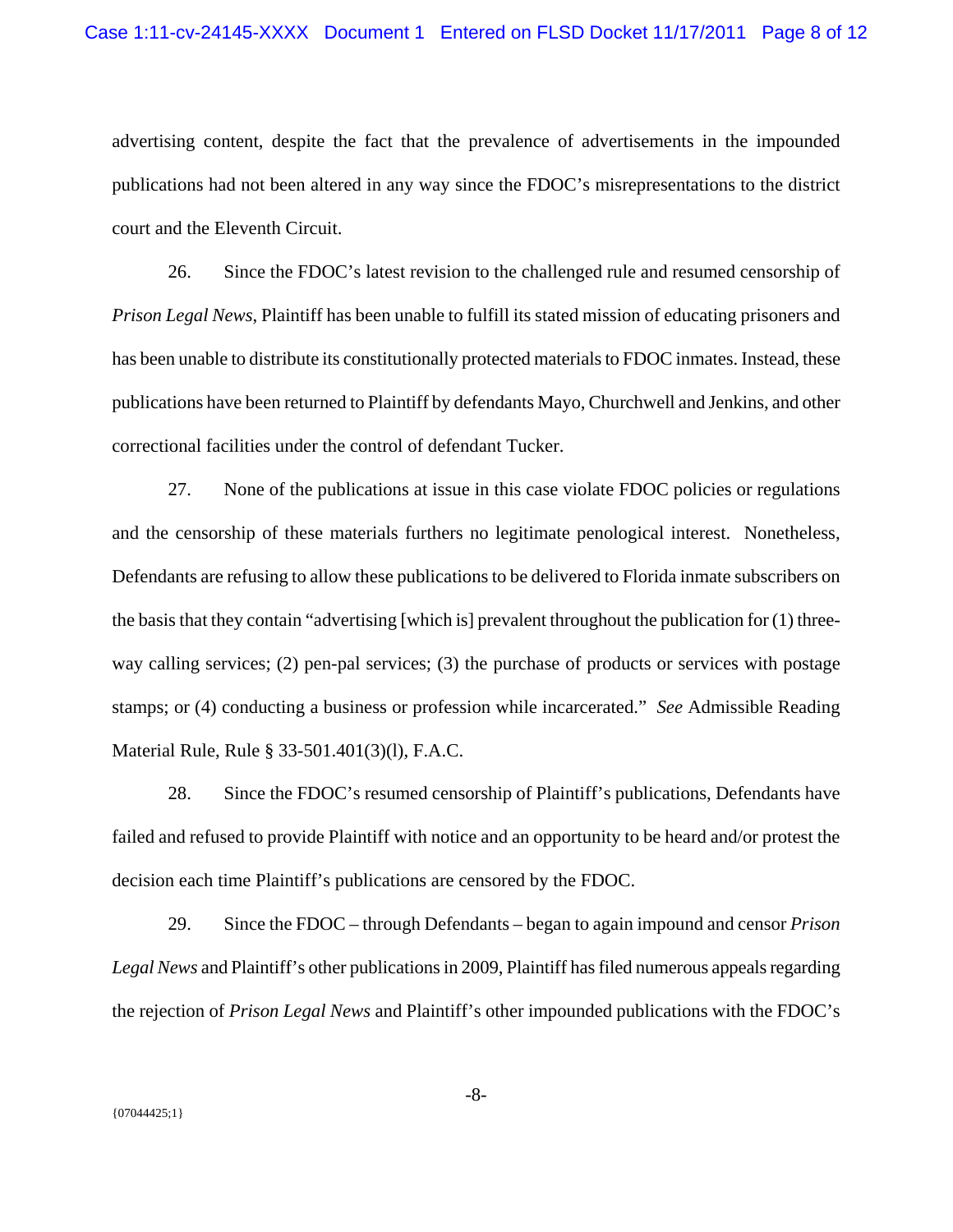advertising content, despite the fact that the prevalence of advertisements in the impounded publications had not been altered in any way since the FDOC's misrepresentations to the district court and the Eleventh Circuit.

26. Since the FDOC's latest revision to the challenged rule and resumed censorship of *Prison Legal News*, Plaintiff has been unable to fulfill its stated mission of educating prisoners and has been unable to distribute its constitutionally protected materials to FDOC inmates. Instead, these publications have been returned to Plaintiff by defendants Mayo, Churchwell and Jenkins, and other correctional facilities under the control of defendant Tucker.

27. None of the publications at issue in this case violate FDOC policies or regulations and the censorship of these materials furthers no legitimate penological interest. Nonetheless, Defendants are refusing to allow these publications to be delivered to Florida inmate subscribers on the basis that they contain "advertising [which is] prevalent throughout the publication for (1) threeway calling services; (2) pen-pal services; (3) the purchase of products or services with postage stamps; or (4) conducting a business or profession while incarcerated." *See* Admissible Reading Material Rule, Rule § 33-501.401(3)(l), F.A.C.

28. Since the FDOC's resumed censorship of Plaintiff's publications, Defendants have failed and refused to provide Plaintiff with notice and an opportunity to be heard and/or protest the decision each time Plaintiff's publications are censored by the FDOC.

29. Since the FDOC – through Defendants – began to again impound and censor *Prison Legal News* and Plaintiff's other publications in 2009, Plaintiff has filed numerous appeals regarding the rejection of *Prison Legal News* and Plaintiff's other impounded publications with the FDOC's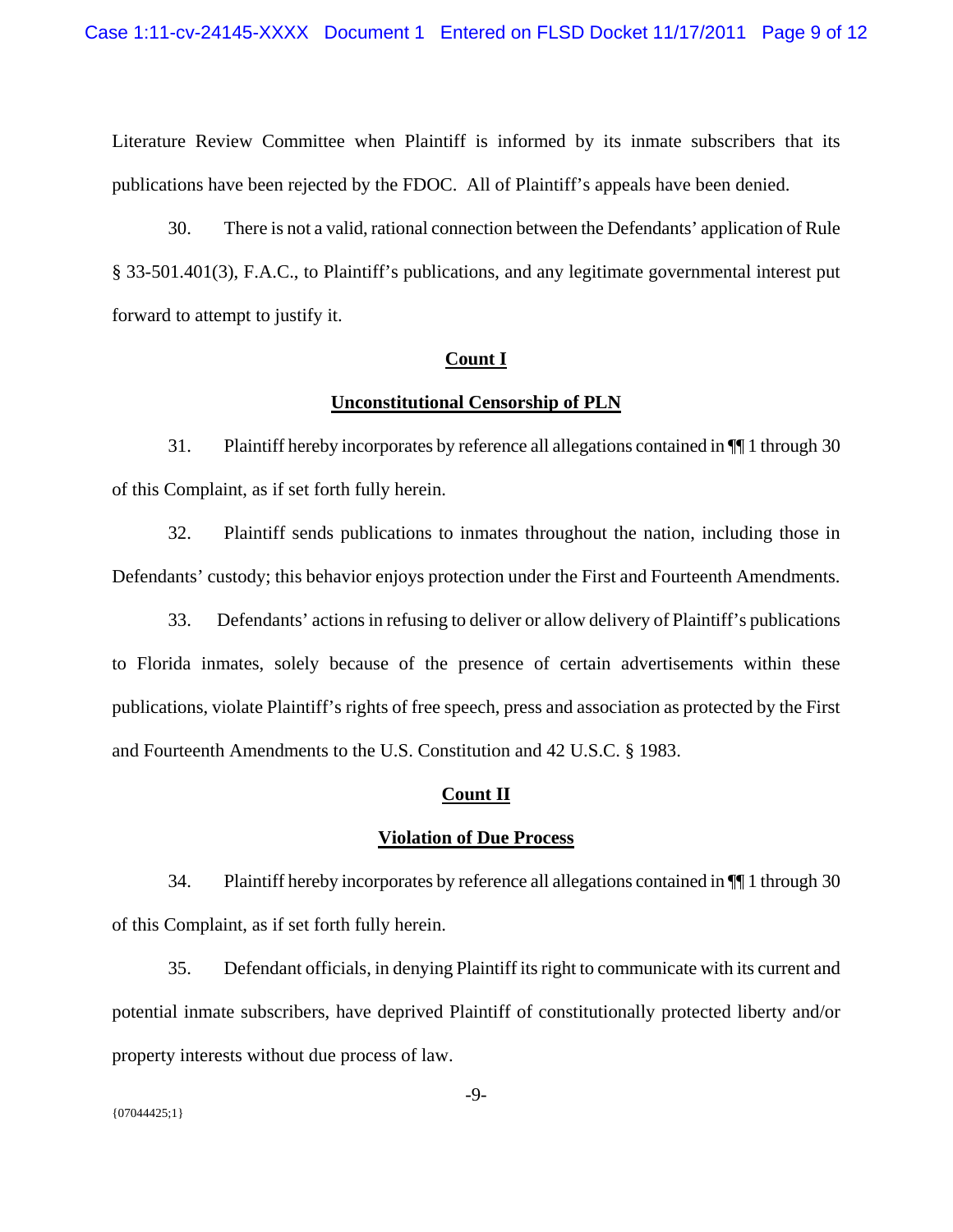Literature Review Committee when Plaintiff is informed by its inmate subscribers that its publications have been rejected by the FDOC. All of Plaintiff's appeals have been denied.

30. There is not a valid, rational connection between the Defendants' application of Rule § 33-501.401(3), F.A.C., to Plaintiff's publications, and any legitimate governmental interest put forward to attempt to justify it.

# **Count I**

### **Unconstitutional Censorship of PLN**

31. Plaintiff hereby incorporates by reference all allegations contained in ¶¶ 1 through 30 of this Complaint, as if set forth fully herein.

32. Plaintiff sends publications to inmates throughout the nation, including those in Defendants' custody; this behavior enjoys protection under the First and Fourteenth Amendments.

33. Defendants' actions in refusing to deliver or allow delivery of Plaintiff's publications to Florida inmates, solely because of the presence of certain advertisements within these publications, violate Plaintiff's rights of free speech, press and association as protected by the First and Fourteenth Amendments to the U.S. Constitution and 42 U.S.C. § 1983.

# **Count II**

#### **Violation of Due Process**

34. Plaintiff hereby incorporates by reference all allegations contained in ¶¶ 1 through 30 of this Complaint, as if set forth fully herein.

35. Defendant officials, in denying Plaintiff its right to communicate with its current and potential inmate subscribers, have deprived Plaintiff of constitutionally protected liberty and/or property interests without due process of law.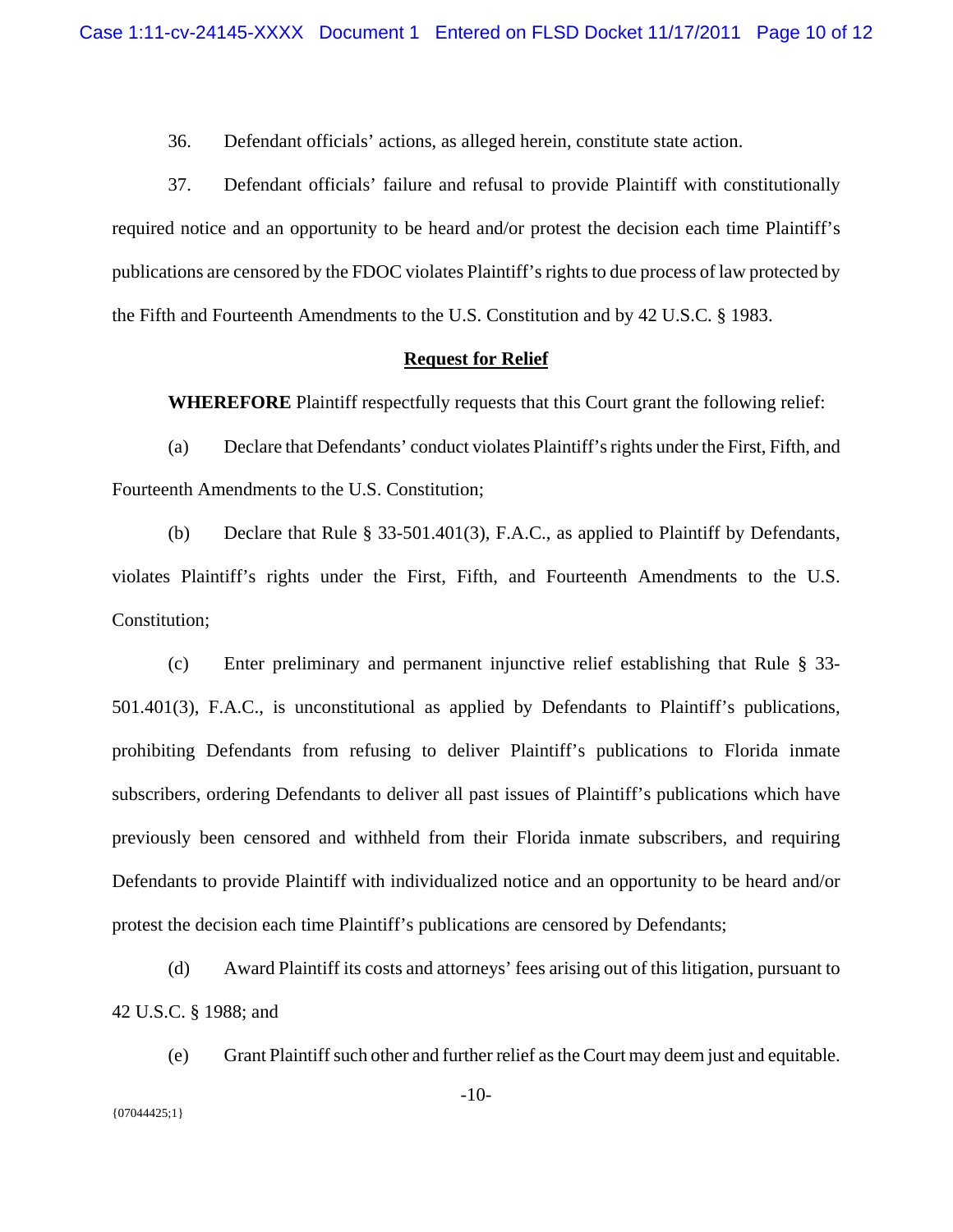36. Defendant officials' actions, as alleged herein, constitute state action.

37. Defendant officials' failure and refusal to provide Plaintiff with constitutionally required notice and an opportunity to be heard and/or protest the decision each time Plaintiff's publications are censored by the FDOC violates Plaintiff's rights to due process of law protected by the Fifth and Fourteenth Amendments to the U.S. Constitution and by 42 U.S.C. § 1983.

## **Request for Relief**

**WHEREFORE** Plaintiff respectfully requests that this Court grant the following relief:

(a) Declare that Defendants' conduct violates Plaintiff's rights under the First, Fifth, and Fourteenth Amendments to the U.S. Constitution;

(b) Declare that Rule § 33-501.401(3), F.A.C., as applied to Plaintiff by Defendants, violates Plaintiff's rights under the First, Fifth, and Fourteenth Amendments to the U.S. Constitution;

(c) Enter preliminary and permanent injunctive relief establishing that Rule § 33- 501.401(3), F.A.C., is unconstitutional as applied by Defendants to Plaintiff's publications, prohibiting Defendants from refusing to deliver Plaintiff's publications to Florida inmate subscribers, ordering Defendants to deliver all past issues of Plaintiff's publications which have previously been censored and withheld from their Florida inmate subscribers, and requiring Defendants to provide Plaintiff with individualized notice and an opportunity to be heard and/or protest the decision each time Plaintiff's publications are censored by Defendants;

(d) Award Plaintiff its costs and attorneys' fees arising out of this litigation, pursuant to 42 U.S.C. § 1988; and

(e) Grant Plaintiff such other and further relief as the Court may deem just and equitable.

 ${07044425;1}$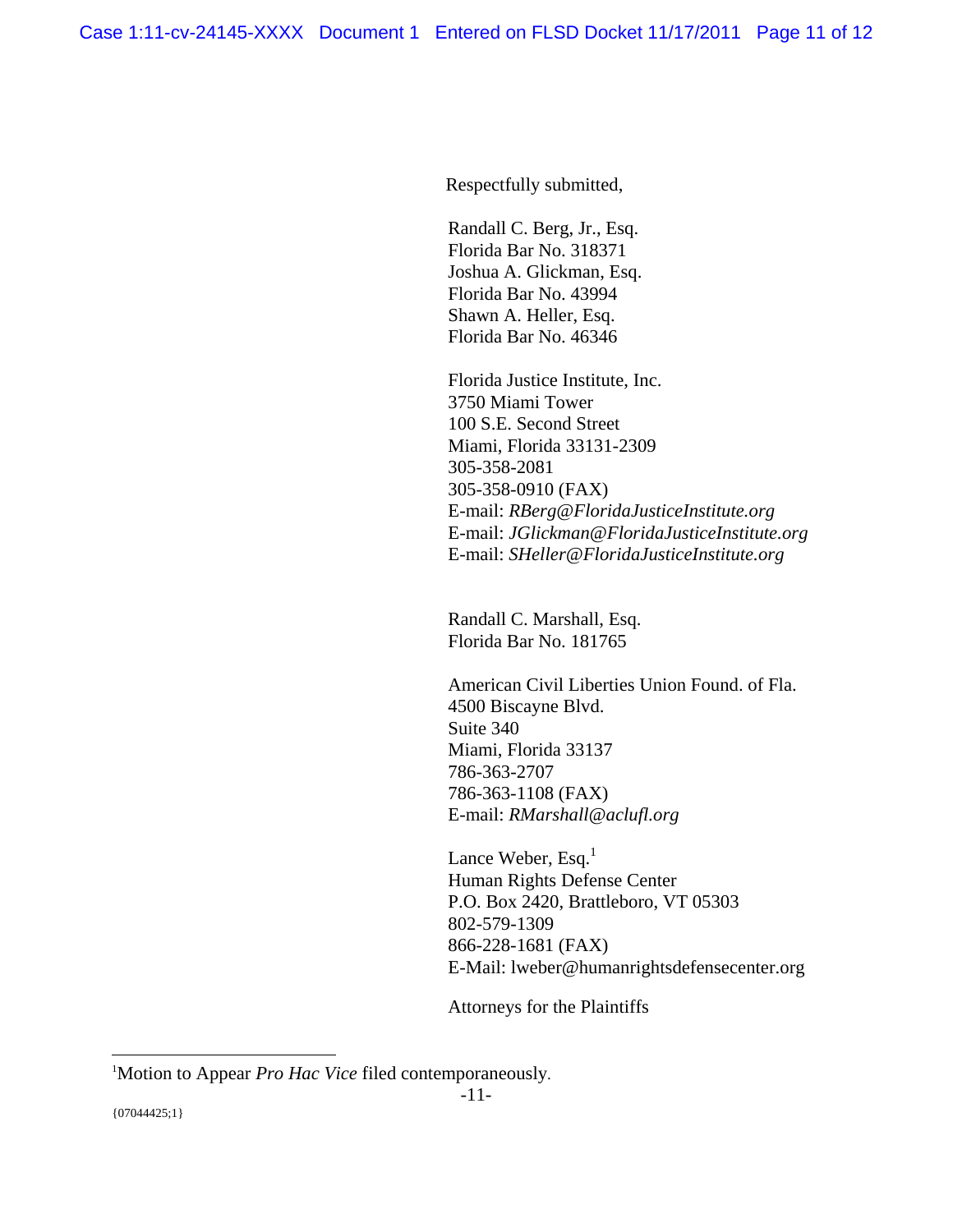Respectfully submitted,

 Randall C. Berg, Jr., Esq. Florida Bar No. 318371 Joshua A. Glickman, Esq. Florida Bar No. 43994 Shawn A. Heller, Esq. Florida Bar No. 46346

 Florida Justice Institute, Inc. 3750 Miami Tower 100 S.E. Second Street Miami, Florida 33131-2309 305-358-2081 305-358-0910 (FAX) E-mail: *RBerg@FloridaJusticeInstitute.org* E-mail: *JGlickman@FloridaJusticeInstitute.org*  E-mail: *SHeller@FloridaJusticeInstitute.org* 

Randall C. Marshall, Esq. Florida Bar No. 181765

 American Civil Liberties Union Found. of Fla. 4500 Biscayne Blvd. Suite 340 Miami, Florida 33137 786-363-2707 786-363-1108 (FAX) E-mail: *RMarshall@aclufl.org* 

Lance Weber, Esq. $<sup>1</sup>$ </sup> Human Rights Defense Center P.O. Box 2420, Brattleboro, VT 05303 802-579-1309 866-228-1681 (FAX) E-Mail: lweber@humanrightsdefensecenter.org

Attorneys for the Plaintiffs

 $\overline{a}$ 

<sup>1</sup> Motion to Appear *Pro Hac Vice* filed contemporaneously.